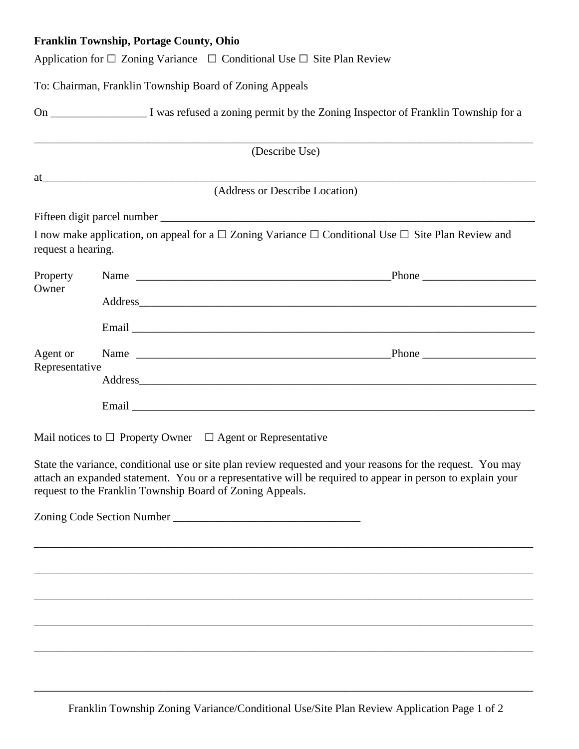## **Franklin Township, Portage County, Ohio**

|                            | Application for $\Box$ Zoning Variance $\Box$ Conditional Use $\Box$ Site Plan Review                                                                                                                                                                                                  |
|----------------------------|----------------------------------------------------------------------------------------------------------------------------------------------------------------------------------------------------------------------------------------------------------------------------------------|
|                            | To: Chairman, Franklin Township Board of Zoning Appeals                                                                                                                                                                                                                                |
|                            |                                                                                                                                                                                                                                                                                        |
|                            | (Describe Use)                                                                                                                                                                                                                                                                         |
|                            | $at$ $\overline{\phantom{a}}$<br>(Address or Describe Location)                                                                                                                                                                                                                        |
|                            |                                                                                                                                                                                                                                                                                        |
| request a hearing.         | I now make application, on appeal for a $\Box$ Zoning Variance $\Box$ Conditional Use $\Box$ Site Plan Review and                                                                                                                                                                      |
| Property<br>Owner          |                                                                                                                                                                                                                                                                                        |
|                            | Address and the contract of the contract of the contract of the contract of the contract of the contract of the contract of the contract of the contract of the contract of the contract of the contract of the contract of th                                                         |
|                            |                                                                                                                                                                                                                                                                                        |
| Agent or<br>Representative |                                                                                                                                                                                                                                                                                        |
|                            | Address and the contract of the contract of the contract of the contract of the contract of the contract of the contract of the contract of the contract of the contract of the contract of the contract of the contract of th                                                         |
|                            |                                                                                                                                                                                                                                                                                        |
|                            | Mail notices to $\Box$ Property Owner $\Box$ Agent or Representative                                                                                                                                                                                                                   |
|                            | State the variance, conditional use or site plan review requested and your reasons for the request. You may<br>attach an expanded statement. You or a representative will be required to appear in person to explain your<br>request to the Franklin Township Board of Zoning Appeals. |
|                            |                                                                                                                                                                                                                                                                                        |
|                            |                                                                                                                                                                                                                                                                                        |
|                            |                                                                                                                                                                                                                                                                                        |
|                            |                                                                                                                                                                                                                                                                                        |

\_\_\_\_\_\_\_\_\_\_\_\_\_\_\_\_\_\_\_\_\_\_\_\_\_\_\_\_\_\_\_\_\_\_\_\_\_\_\_\_\_\_\_\_\_\_\_\_\_\_\_\_\_\_\_\_\_\_\_\_\_\_\_\_\_\_\_\_\_\_\_\_\_\_\_\_\_\_\_\_\_\_\_\_\_\_\_\_

\_\_\_\_\_\_\_\_\_\_\_\_\_\_\_\_\_\_\_\_\_\_\_\_\_\_\_\_\_\_\_\_\_\_\_\_\_\_\_\_\_\_\_\_\_\_\_\_\_\_\_\_\_\_\_\_\_\_\_\_\_\_\_\_\_\_\_\_\_\_\_\_\_\_\_\_\_\_\_\_\_\_\_\_\_\_\_\_